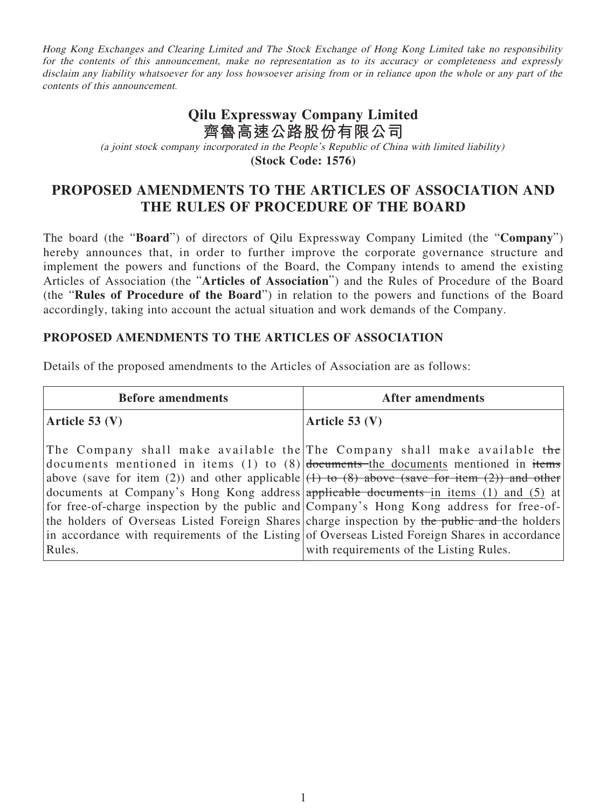Hong Kong Exchanges and Clearing Limited and The Stock Exchange of Hong Kong Limited take no responsibility for the contents of this announcement, make no representation as to its accuracy or completeness and expressly disclaim any liability whatsoever for any loss howsoever arising from or in reliance upon the whole or any part of the contents of this announcement.

### **Qilu Expressway Company Limited 齊魯高速公路股份有限公司** (a joint stock company incorporated in the People's Republic of China with limited liability) **(Stock Code: 1576)**

## **PROPOSED AMENDMENTS TO THE ARTICLES OF ASSOCIATION AND THE RULES OF PROCEDURE OF THE BOARD**

The board (the "**Board**") of directors of Qilu Expressway Company Limited (the "**Company**") hereby announces that, in order to further improve the corporate governance structure and implement the powers and functions of the Board, the Company intends to amend the existing Articles of Association (the "**Articles of Association**") and the Rules of Procedure of the Board (the "**Rules of Procedure of the Board**") in relation to the powers and functions of the Board accordingly, taking into account the actual situation and work demands of the Company.

#### **PROPOSED AMENDMENTS TO THE ARTICLES OF ASSOCIATION**

Details of the proposed amendments to the Articles of Association are as follows:

| <b>Before amendments</b> | <b>After amendments</b>                                                                                                                                                                                                                                                                                                                                                                                                                                                                                                                                                                                                                                                                                 |
|--------------------------|---------------------------------------------------------------------------------------------------------------------------------------------------------------------------------------------------------------------------------------------------------------------------------------------------------------------------------------------------------------------------------------------------------------------------------------------------------------------------------------------------------------------------------------------------------------------------------------------------------------------------------------------------------------------------------------------------------|
| Article 53 $(V)$         | Article $53 (V)$                                                                                                                                                                                                                                                                                                                                                                                                                                                                                                                                                                                                                                                                                        |
| Rules.                   | The Company shall make available the The Company shall make available the<br>documents mentioned in items (1) to $(8)$ documents the documents mentioned in items<br>above (save for item (2)) and other applicable $(1)$ to (8) above (save for item (2)) and other<br>documents at Company's Hong Kong address applicable documents in items (1) and (5) at<br>for free-of-charge inspection by the public and Company's Hong Kong address for free-of-<br>the holders of Overseas Listed Foreign Shares charge inspection by the public and the holders<br>in accordance with requirements of the Listing of Overseas Listed Foreign Shares in accordance<br>with requirements of the Listing Rules. |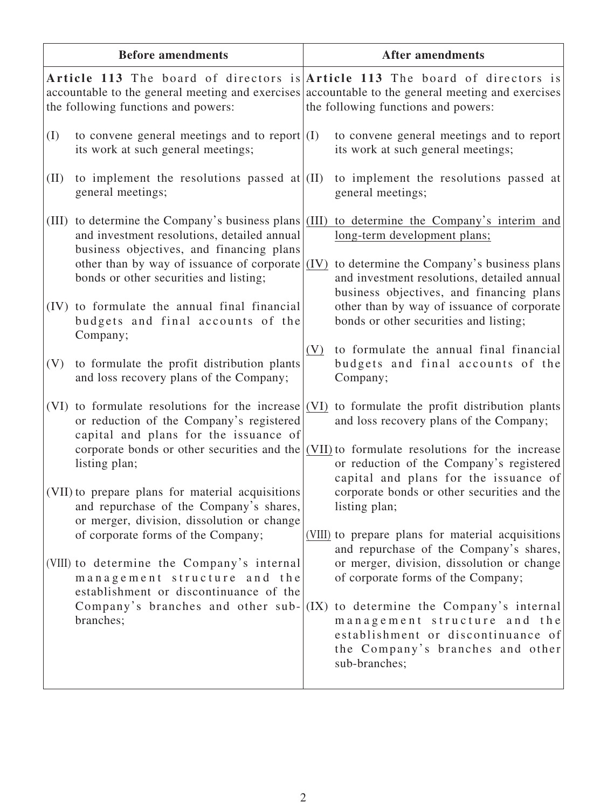| <b>Before amendments</b> |                                                                                                                                                                                                                                                                                                                                                           | <b>After amendments</b> |                                                                                                                                                                                                                                                                                                                                                                                                                    |  |
|--------------------------|-----------------------------------------------------------------------------------------------------------------------------------------------------------------------------------------------------------------------------------------------------------------------------------------------------------------------------------------------------------|-------------------------|--------------------------------------------------------------------------------------------------------------------------------------------------------------------------------------------------------------------------------------------------------------------------------------------------------------------------------------------------------------------------------------------------------------------|--|
|                          | the following functions and powers:                                                                                                                                                                                                                                                                                                                       |                         | Article 113 The board of directors is Article 113 The board of directors is<br>accountable to the general meeting and exercises accountable to the general meeting and exercises<br>the following functions and powers:                                                                                                                                                                                            |  |
| (I)                      | to convene general meetings and to report $(1)$<br>its work at such general meetings;                                                                                                                                                                                                                                                                     |                         | to convene general meetings and to report<br>its work at such general meetings;                                                                                                                                                                                                                                                                                                                                    |  |
| (II)                     | to implement the resolutions passed at $\vert$ (II)<br>general meetings;                                                                                                                                                                                                                                                                                  |                         | to implement the resolutions passed at<br>general meetings;                                                                                                                                                                                                                                                                                                                                                        |  |
| (III)                    | to determine the Company's business plans $\vert$ (III)<br>and investment resolutions, detailed annual<br>business objectives, and financing plans<br>other than by way of issuance of corporate $(IV)$<br>bonds or other securities and listing;<br>(IV) to formulate the annual final financial<br>budgets and final accounts of the                    |                         | to determine the Company's interim and<br>long-term development plans;<br>to determine the Company's business plans<br>and investment resolutions, detailed annual<br>business objectives, and financing plans<br>other than by way of issuance of corporate<br>bonds or other securities and listing;                                                                                                             |  |
| (V)                      | Company;<br>to formulate the profit distribution plants<br>and loss recovery plans of the Company;                                                                                                                                                                                                                                                        | (V)                     | to formulate the annual final financial<br>budgets and final accounts of the<br>Company;                                                                                                                                                                                                                                                                                                                           |  |
|                          | (VI) to formulate resolutions for the increase $ (VI) $ to formulate the profit distribution plants<br>or reduction of the Company's registered<br>capital and plans for the issuance of<br>corporate bonds or other securities and the $\vert$ (VII) to formulate resolutions for the increase<br>listing plan;                                          |                         | and loss recovery plans of the Company;<br>or reduction of the Company's registered<br>capital and plans for the issuance of                                                                                                                                                                                                                                                                                       |  |
|                          | (VII) to prepare plans for material acquisitions<br>and repurchase of the Company's shares,<br>or merger, division, dissolution or change<br>of corporate forms of the Company;<br>(VIII) to determine the Company's internal<br>management structure and the<br>establishment or discontinuance of the<br>Company's branches and other sub-<br>branches; | (IX)                    | corporate bonds or other securities and the<br>listing plan;<br>(VIII) to prepare plans for material acquisitions<br>and repurchase of the Company's shares,<br>or merger, division, dissolution or change<br>of corporate forms of the Company;<br>to determine the Company's internal<br>management structure and the<br>establishment or discontinuance of<br>the Company's branches and other<br>sub-branches; |  |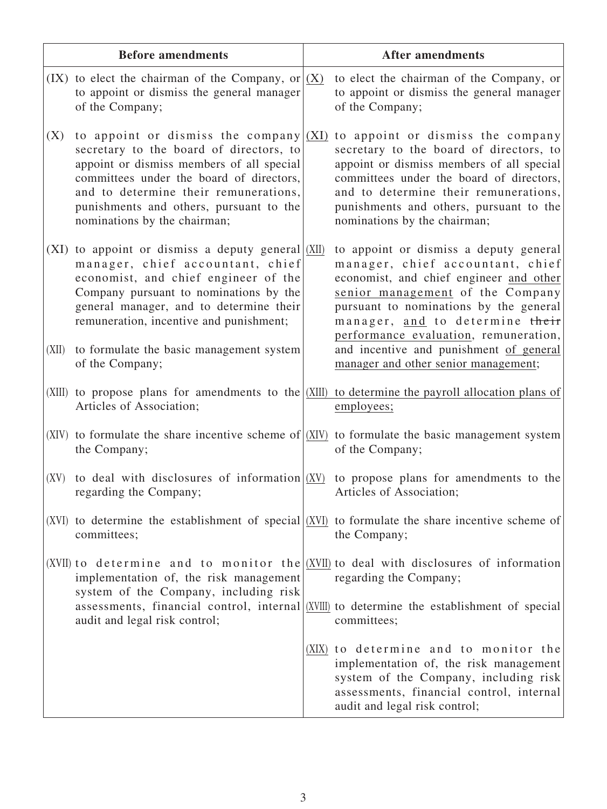|        | <b>Before amendments</b>                                                                                                                                                                                                                                                                         | <b>After amendments</b>                                                                                                                                                                                                                                                                   |
|--------|--------------------------------------------------------------------------------------------------------------------------------------------------------------------------------------------------------------------------------------------------------------------------------------------------|-------------------------------------------------------------------------------------------------------------------------------------------------------------------------------------------------------------------------------------------------------------------------------------------|
|        | (IX) to elect the chairman of the Company, or $ (X)$<br>to appoint or dismiss the general manager<br>of the Company;                                                                                                                                                                             | to elect the chairman of the Company, or<br>to appoint or dismiss the general manager<br>of the Company;                                                                                                                                                                                  |
| (X)    | to appoint or dismiss the company $(XI)$<br>secretary to the board of directors, to<br>appoint or dismiss members of all special<br>committees under the board of directors,<br>and to determine their remunerations,<br>punishments and others, pursuant to the<br>nominations by the chairman; | to appoint or dismiss the company<br>secretary to the board of directors, to<br>appoint or dismiss members of all special<br>committees under the board of directors,<br>and to determine their remunerations,<br>punishments and others, pursuant to the<br>nominations by the chairman; |
| (XI)   | to appoint or dismiss a deputy general $(XII)$<br>manager, chief accountant, chief<br>economist, and chief engineer of the<br>Company pursuant to nominations by the<br>general manager, and to determine their<br>remuneration, incentive and punishment;                                       | to appoint or dismiss a deputy general<br>manager, chief accountant, chief<br>economist, and chief engineer and other<br>senior management of the Company<br>pursuant to nominations by the general<br>manager, and to determine their<br>performance evaluation, remuneration,           |
| (XII)  | to formulate the basic management system<br>of the Company;                                                                                                                                                                                                                                      | and incentive and punishment of general<br>manager and other senior management;                                                                                                                                                                                                           |
| (XIII) | to propose plans for amendments to the $ XIII\rangle$<br>Articles of Association;                                                                                                                                                                                                                | to determine the payroll allocation plans of<br>employees;                                                                                                                                                                                                                                |
|        | the Company;                                                                                                                                                                                                                                                                                     | (XIV) to formulate the share incentive scheme of $ (XIV) $ to formulate the basic management system<br>of the Company;                                                                                                                                                                    |
| (XV)   | to deal with disclosures of information $(XV)$<br>regarding the Company;                                                                                                                                                                                                                         | to propose plans for amendments to the<br>Articles of Association;                                                                                                                                                                                                                        |
|        | committees;                                                                                                                                                                                                                                                                                      | $(XVI)$ to determine the establishment of special $(XVI)$ to formulate the share incentive scheme of<br>the Company;                                                                                                                                                                      |
|        | implementation of, the risk management<br>system of the Company, including risk                                                                                                                                                                                                                  | (XVII) to determine and to monitor the $(XVII)$ to deal with disclosures of information<br>regarding the Company;                                                                                                                                                                         |
|        | audit and legal risk control;                                                                                                                                                                                                                                                                    | assessments, financial control, internal (XVIII) to determine the establishment of special<br>committees;                                                                                                                                                                                 |
|        |                                                                                                                                                                                                                                                                                                  | (XIX) to determine and to monitor the<br>implementation of, the risk management<br>system of the Company, including risk<br>assessments, financial control, internal<br>audit and legal risk control;                                                                                     |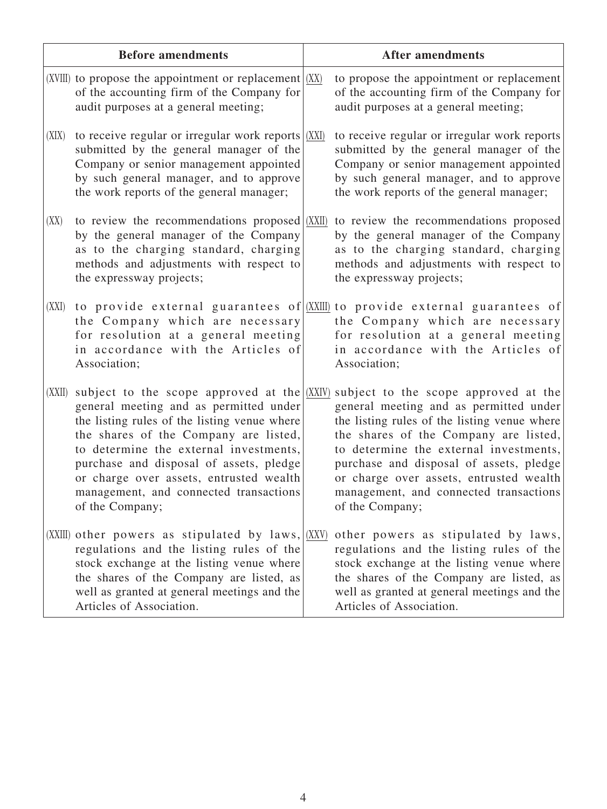|        | <b>Before amendments</b>                                                                                                                                                                                                                                                                                                                                                      | <b>After amendments</b>                                                                                                                                                                                                                                                                                                                                              |
|--------|-------------------------------------------------------------------------------------------------------------------------------------------------------------------------------------------------------------------------------------------------------------------------------------------------------------------------------------------------------------------------------|----------------------------------------------------------------------------------------------------------------------------------------------------------------------------------------------------------------------------------------------------------------------------------------------------------------------------------------------------------------------|
|        | (XVIII) to propose the appointment or replacement $ (XX)$<br>of the accounting firm of the Company for<br>audit purposes at a general meeting;                                                                                                                                                                                                                                | to propose the appointment or replacement<br>of the accounting firm of the Company for<br>audit purposes at a general meeting;                                                                                                                                                                                                                                       |
| (XIX)  | to receive regular or irregular work reports $ $ (XXI)<br>submitted by the general manager of the<br>Company or senior management appointed<br>by such general manager, and to approve<br>the work reports of the general manager;                                                                                                                                            | to receive regular or irregular work reports<br>submitted by the general manager of the<br>Company or senior management appointed<br>by such general manager, and to approve<br>the work reports of the general manager;                                                                                                                                             |
| (XX)   | to review the recommendations proposed (XXII)<br>by the general manager of the Company<br>as to the charging standard, charging<br>methods and adjustments with respect to<br>the expressway projects;                                                                                                                                                                        | to review the recommendations proposed<br>by the general manager of the Company<br>as to the charging standard, charging<br>methods and adjustments with respect to<br>the expressway projects;                                                                                                                                                                      |
| (XXI)  | the Company which are necessary<br>for resolution at a general meeting<br>in accordance with the Articles of<br>Association;                                                                                                                                                                                                                                                  | to provide external guarantees of (XXIII) to provide external guarantees of<br>the Company which are necessary<br>for resolution at a general meeting<br>in accordance with the Articles of<br>Association;                                                                                                                                                          |
| (XXII) | subject to the scope approved at the $(XXIV)$<br>general meeting and as permitted under<br>the listing rules of the listing venue where<br>the shares of the Company are listed,<br>to determine the external investments,<br>purchase and disposal of assets, pledge<br>or charge over assets, entrusted wealth<br>management, and connected transactions<br>of the Company; | subject to the scope approved at the<br>general meeting and as permitted under<br>the listing rules of the listing venue where<br>the shares of the Company are listed,<br>to determine the external investments,<br>purchase and disposal of assets, pledge<br>or charge over assets, entrusted wealth<br>management, and connected transactions<br>of the Company; |
|        | (XXIII) other powers as stipulated by $laws, (XXV)$<br>regulations and the listing rules of the<br>stock exchange at the listing venue where<br>the shares of the Company are listed, as<br>well as granted at general meetings and the<br>Articles of Association.                                                                                                           | other powers as stipulated by laws,<br>regulations and the listing rules of the<br>stock exchange at the listing venue where<br>the shares of the Company are listed, as<br>well as granted at general meetings and the<br>Articles of Association.                                                                                                                  |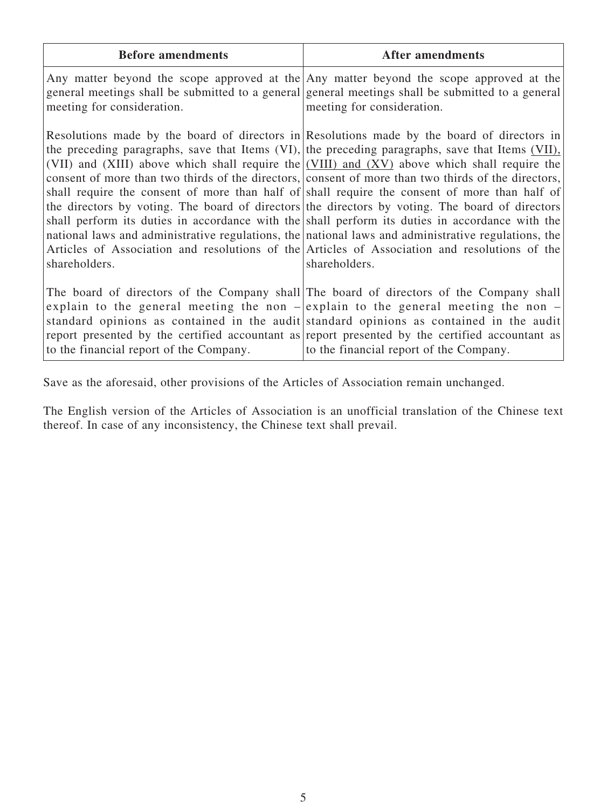| <b>Before amendments</b>                | <b>After amendments</b>                                                                                                                                                                                                                                                                                                                                                                                                                                                                                                                                                                                                                                                                                                                                                                                                                                                                                                                |
|-----------------------------------------|----------------------------------------------------------------------------------------------------------------------------------------------------------------------------------------------------------------------------------------------------------------------------------------------------------------------------------------------------------------------------------------------------------------------------------------------------------------------------------------------------------------------------------------------------------------------------------------------------------------------------------------------------------------------------------------------------------------------------------------------------------------------------------------------------------------------------------------------------------------------------------------------------------------------------------------|
| meeting for consideration.              | Any matter beyond the scope approved at the Any matter beyond the scope approved at the<br>general meetings shall be submitted to a general general meetings shall be submitted to a general<br>meeting for consideration.                                                                                                                                                                                                                                                                                                                                                                                                                                                                                                                                                                                                                                                                                                             |
| shareholders.                           | Resolutions made by the board of directors in Resolutions made by the board of directors in<br>the preceding paragraphs, save that Items (VI), the preceding paragraphs, save that Items (VII),<br>(VII) and (XIII) above which shall require the (VIII) and (XV) above which shall require the<br>consent of more than two thirds of the directors, consent of more than two thirds of the directors,<br>shall require the consent of more than half of shall require the consent of more than half of<br>the directors by voting. The board of directors the directors by voting. The board of directors<br>shall perform its duties in accordance with the shall perform its duties in accordance with the<br>national laws and administrative regulations, the national laws and administrative regulations, the<br>Articles of Association and resolutions of the Articles of Association and resolutions of the<br>shareholders. |
| to the financial report of the Company. | The board of directors of the Company shall The board of directors of the Company shall<br>explain to the general meeting the non $-\infty$ lexplain to the general meeting the non $-\infty$<br>standard opinions as contained in the audit standard opinions as contained in the audit<br>report presented by the certified accountant as report presented by the certified accountant as<br>to the financial report of the Company.                                                                                                                                                                                                                                                                                                                                                                                                                                                                                                 |

Save as the aforesaid, other provisions of the Articles of Association remain unchanged.

The English version of the Articles of Association is an unofficial translation of the Chinese text thereof. In case of any inconsistency, the Chinese text shall prevail.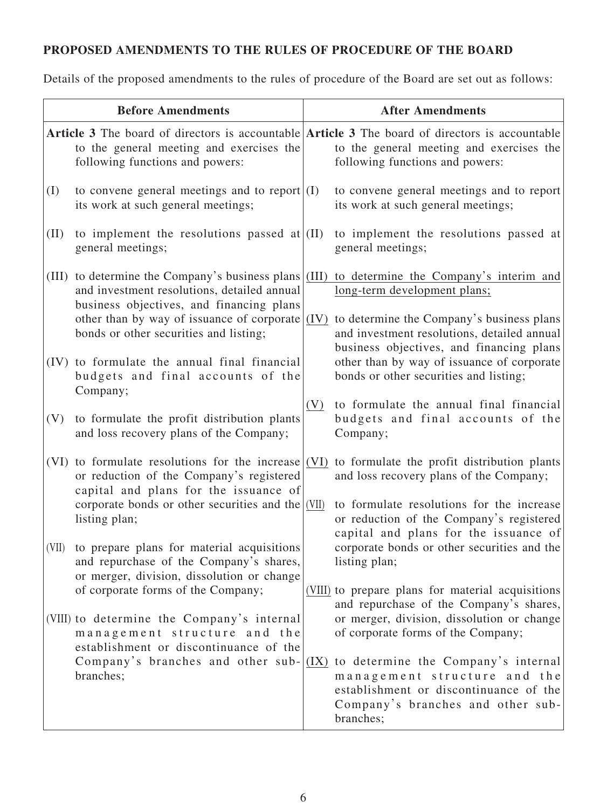# **PROPOSED AMENDMENTS TO THE RULES OF PROCEDURE OF THE BOARD**

Details of the proposed amendments to the rules of procedure of the Board are set out as follows:

| <b>Before Amendments</b> |                                                                                                                                                                                              | <b>After Amendments</b> |                                                                                                                                                                 |
|--------------------------|----------------------------------------------------------------------------------------------------------------------------------------------------------------------------------------------|-------------------------|-----------------------------------------------------------------------------------------------------------------------------------------------------------------|
|                          | <b>Article 3</b> The board of directors is accountable <b>Article 3</b> The board of directors is accountable<br>to the general meeting and exercises the<br>following functions and powers: |                         | to the general meeting and exercises the<br>following functions and powers:                                                                                     |
| (I)                      | to convene general meetings and to report $(1)$<br>its work at such general meetings;                                                                                                        |                         | to convene general meetings and to report<br>its work at such general meetings;                                                                                 |
| (II)                     | to implement the resolutions passed at $\vert$ (II)<br>general meetings;                                                                                                                     |                         | to implement the resolutions passed at<br>general meetings;                                                                                                     |
| (III)                    | to determine the Company's business plans $\vert$ (III)<br>and investment resolutions, detailed annual<br>business objectives, and financing plans                                           |                         | to determine the Company's interim and<br>long-term development plans;                                                                                          |
|                          | other than by way of issuance of corporate $(IV)$<br>bonds or other securities and listing;                                                                                                  |                         | to determine the Company's business plans<br>and investment resolutions, detailed annual<br>business objectives, and financing plans                            |
| (IV)                     | to formulate the annual final financial<br>budgets and final accounts of the<br>Company;                                                                                                     |                         | other than by way of issuance of corporate<br>bonds or other securities and listing;                                                                            |
| (V)                      | to formulate the profit distribution plants<br>and loss recovery plans of the Company;                                                                                                       | (V)                     | to formulate the annual final financial<br>budgets and final accounts of the<br>Company;                                                                        |
|                          | (VI) to formulate resolutions for the increase $ (VI) $ to formulate the profit distribution plants<br>or reduction of the Company's registered<br>capital and plans for the issuance of     |                         | and loss recovery plans of the Company;                                                                                                                         |
|                          | corporate bonds or other securities and the $(VII)$<br>listing plan;                                                                                                                         |                         | to formulate resolutions for the increase<br>or reduction of the Company's registered<br>capital and plans for the issuance of                                  |
| (VII)                    | to prepare plans for material acquisitions<br>and repurchase of the Company's shares,<br>or merger, division, dissolution or change                                                          |                         | corporate bonds or other securities and the<br>listing plan;                                                                                                    |
|                          | of corporate forms of the Company;                                                                                                                                                           |                         | (VIII) to prepare plans for material acquisitions<br>and repurchase of the Company's shares,                                                                    |
|                          | (VIII) to determine the Company's internal<br>management structure and the<br>establishment or discontinuance of the                                                                         |                         | or merger, division, dissolution or change<br>of corporate forms of the Company;                                                                                |
|                          | Company's branches and other sub- $(IX)$<br>branches;                                                                                                                                        |                         | to determine the Company's internal<br>management structure and the<br>establishment or discontinuance of the<br>Company's branches and other sub-<br>branches; |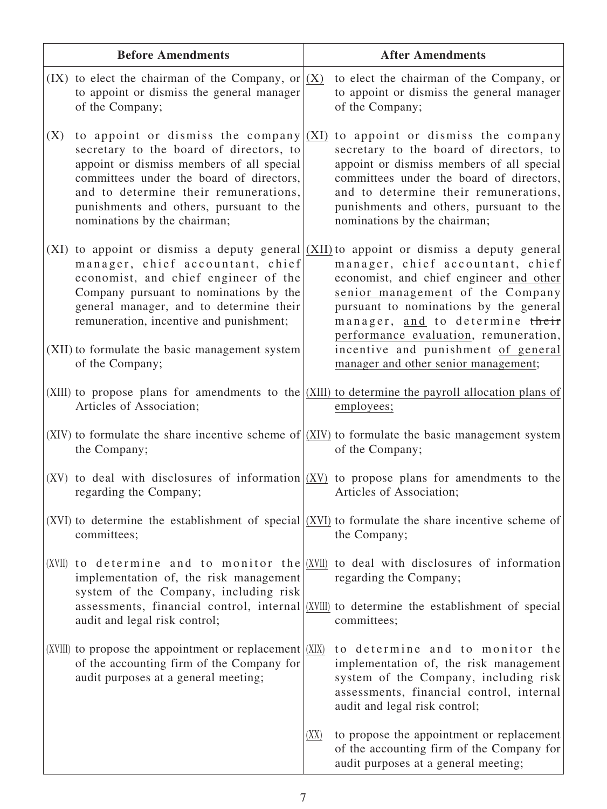|      | <b>Before Amendments</b>                                                                                                                                                                                                                                                                         |      | <b>After Amendments</b>                                                                                                                                                                                                                                                                                                                                                                                       |
|------|--------------------------------------------------------------------------------------------------------------------------------------------------------------------------------------------------------------------------------------------------------------------------------------------------|------|---------------------------------------------------------------------------------------------------------------------------------------------------------------------------------------------------------------------------------------------------------------------------------------------------------------------------------------------------------------------------------------------------------------|
|      | (IX) to elect the chairman of the Company, or $ (X)$<br>to appoint or dismiss the general manager<br>of the Company;                                                                                                                                                                             |      | to elect the chairman of the Company, or<br>to appoint or dismiss the general manager<br>of the Company;                                                                                                                                                                                                                                                                                                      |
| (X)  | to appoint or dismiss the company $(XI)$<br>secretary to the board of directors, to<br>appoint or dismiss members of all special<br>committees under the board of directors,<br>and to determine their remunerations,<br>punishments and others, pursuant to the<br>nominations by the chairman; |      | to appoint or dismiss the company<br>secretary to the board of directors, to<br>appoint or dismiss members of all special<br>committees under the board of directors,<br>and to determine their remunerations,<br>punishments and others, pursuant to the<br>nominations by the chairman;                                                                                                                     |
| (XI) | manager, chief accountant, chief<br>economist, and chief engineer of the<br>Company pursuant to nominations by the<br>general manager, and to determine their<br>remuneration, incentive and punishment;<br>(XII) to formulate the basic management system<br>of the Company;                    |      | to appoint or dismiss a deputy general $(XII)$ to appoint or dismiss a deputy general<br>manager, chief accountant, chief<br>economist, and chief engineer and other<br>senior management of the Company<br>pursuant to nominations by the general<br>manager, and to determine their<br>performance evaluation, remuneration,<br>incentive and punishment of general<br>manager and other senior management; |
|      | Articles of Association;                                                                                                                                                                                                                                                                         |      | (XIII) to propose plans for amendments to the $ XIII\rangle$ to determine the payroll allocation plans of<br>employees;                                                                                                                                                                                                                                                                                       |
|      | the Company;                                                                                                                                                                                                                                                                                     |      | (XIV) to formulate the share incentive scheme of $ (XIV) $ to formulate the basic management system<br>of the Company;                                                                                                                                                                                                                                                                                        |
| (XV) | regarding the Company;                                                                                                                                                                                                                                                                           |      | to deal with disclosures of information $(XV)$ to propose plans for amendments to the<br>Articles of Association;                                                                                                                                                                                                                                                                                             |
|      | committees;                                                                                                                                                                                                                                                                                      |      | (XVI) to determine the establishment of special $(XVI)$ to formulate the share incentive scheme of<br>the Company;                                                                                                                                                                                                                                                                                            |
|      | (XVII) to determine and to monitor the $(XVII)$<br>implementation of, the risk management<br>system of the Company, including risk                                                                                                                                                               |      | to deal with disclosures of information<br>regarding the Company;                                                                                                                                                                                                                                                                                                                                             |
|      | audit and legal risk control;                                                                                                                                                                                                                                                                    |      | assessments, financial control, internal (XVIII) to determine the establishment of special<br>committees;                                                                                                                                                                                                                                                                                                     |
|      | (XVIII) to propose the appointment or replacement $(XIX)$<br>of the accounting firm of the Company for<br>audit purposes at a general meeting;                                                                                                                                                   |      | to determine and to monitor the<br>implementation of, the risk management<br>system of the Company, including risk<br>assessments, financial control, internal<br>audit and legal risk control;                                                                                                                                                                                                               |
|      |                                                                                                                                                                                                                                                                                                  | (XX) | to propose the appointment or replacement<br>of the accounting firm of the Company for<br>audit purposes at a general meeting;                                                                                                                                                                                                                                                                                |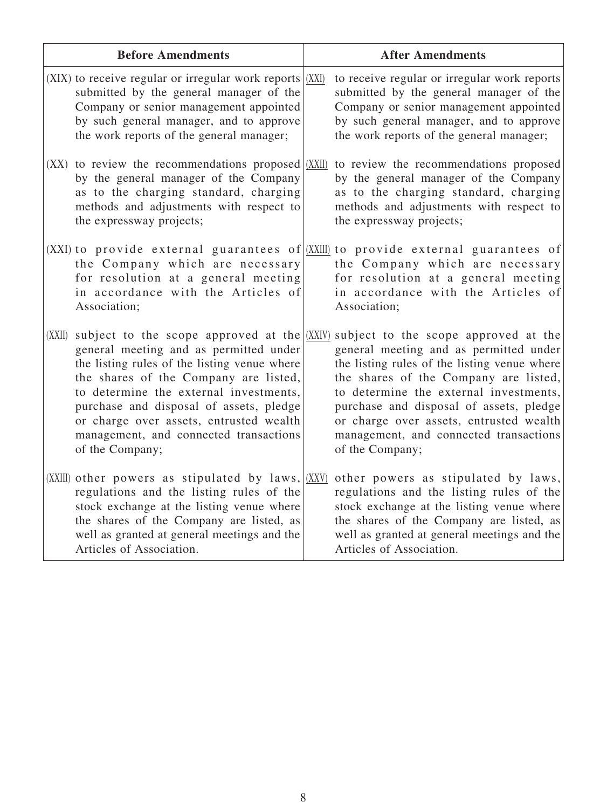|        | <b>Before Amendments</b>                                                                                                                                                                                                                                                                                                     | <b>After Amendments</b>                                                                                                                                                                                                                                                                                                                                                                                            |
|--------|------------------------------------------------------------------------------------------------------------------------------------------------------------------------------------------------------------------------------------------------------------------------------------------------------------------------------|--------------------------------------------------------------------------------------------------------------------------------------------------------------------------------------------------------------------------------------------------------------------------------------------------------------------------------------------------------------------------------------------------------------------|
|        | (XIX) to receive regular or irregular work reports $(XIX)$<br>submitted by the general manager of the<br>Company or senior management appointed<br>by such general manager, and to approve<br>the work reports of the general manager;                                                                                       | to receive regular or irregular work reports<br>submitted by the general manager of the<br>Company or senior management appointed<br>by such general manager, and to approve<br>the work reports of the general manager;                                                                                                                                                                                           |
| (XX)   | to review the recommendations proposed (XXII)<br>by the general manager of the Company<br>as to the charging standard, charging<br>methods and adjustments with respect to<br>the expressway projects;                                                                                                                       | to review the recommendations proposed<br>by the general manager of the Company<br>as to the charging standard, charging<br>methods and adjustments with respect to<br>the expressway projects;                                                                                                                                                                                                                    |
|        | the Company which are necessary<br>for resolution at a general meeting<br>in accordance with the Articles of<br>Association;                                                                                                                                                                                                 | (XXI) to provide external guarantees of $(XXIII)$ to provide external guarantees of<br>the Company which are necessary<br>for resolution at a general meeting<br>in accordance with the Articles of<br>Association;                                                                                                                                                                                                |
| (XXII) | general meeting and as permitted under<br>the listing rules of the listing venue where<br>the shares of the Company are listed,<br>to determine the external investments,<br>purchase and disposal of assets, pledge<br>or charge over assets, entrusted wealth<br>management, and connected transactions<br>of the Company; | subject to the scope approved at the $(XXIV)$ subject to the scope approved at the<br>general meeting and as permitted under<br>the listing rules of the listing venue where<br>the shares of the Company are listed,<br>to determine the external investments,<br>purchase and disposal of assets, pledge<br>or charge over assets, entrusted wealth<br>management, and connected transactions<br>of the Company; |
|        | (XXIII) other powers as stipulated by $laws, (XXV)$<br>regulations and the listing rules of the<br>stock exchange at the listing venue where<br>the shares of the Company are listed, as<br>well as granted at general meetings and the<br>Articles of Association.                                                          | other powers as stipulated by laws,<br>regulations and the listing rules of the<br>stock exchange at the listing venue where<br>the shares of the Company are listed, as<br>well as granted at general meetings and the<br>Articles of Association.                                                                                                                                                                |